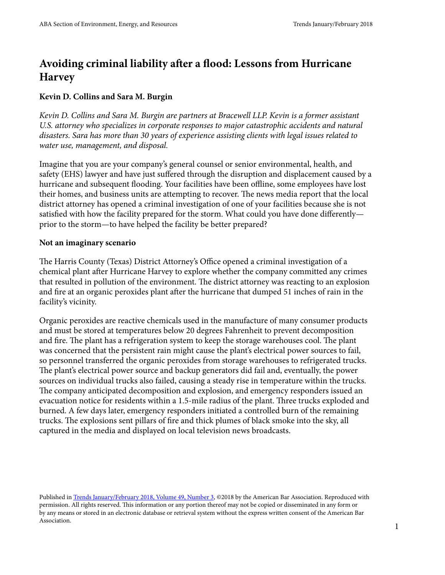# **Avoiding criminal liability after a flood: Lessons from Hurricane Harvey**

### **Kevin D. Collins and Sara M. Burgin**

*Kevin D. Collins and Sara M. Burgin are partners at Bracewell LLP. Kevin is a former assistant*  U.S. attorney who specializes in corporate responses to major catastrophic accidents and natural *disasters. Sara has more than 30 years of experience assisting clients with legal issues related to water use, management, and disposal.*

Imagine that you are your company's general counsel or senior environmental, health, and safety (EHS) lawyer and have just suffered through the disruption and displacement caused by a hurricane and subsequent flooding. Your facilities have been offline, some employees have lost their homes, and business units are attempting to recover. The news media report that the local district attorney has opened a criminal investigation of one of your facilities because she is not satisfied with how the facility prepared for the storm. What could you have done differently prior to the storm—to have helped the facility be better prepared?

#### **Not an imaginary scenario**

The Harris County (Texas) District Attorney's Office opened a criminal investigation of a chemical plant after Hurricane Harvey to explore whether the company committed any crimes that resulted in pollution of the environment. The district attorney was reacting to an explosion and fire at an organic peroxides plant after the hurricane that dumped 51 inches of rain in the facility's vicinity.

Organic peroxides are reactive chemicals used in the manufacture of many consumer products and must be stored at temperatures below 20 degrees Fahrenheit to prevent decomposition and fire. The plant has a refrigeration system to keep the storage warehouses cool. The plant was concerned that the persistent rain might cause the plant's electrical power sources to fail, so personnel transferred the organic peroxides from storage warehouses to refrigerated trucks. The plant's electrical power source and backup generators did fail and, eventually, the power sources on individual trucks also failed, causing a steady rise in temperature within the trucks. The company anticipated decomposition and explosion, and emergency responders issued an evacuation notice for residents within a 1.5-mile radius of the plant. Three trucks exploded and burned. A few days later, emergency responders initiated a controlled burn of the remaining trucks. The explosions sent pillars of fire and thick plumes of black smoke into the sky, all captured in the media and displayed on local television news broadcasts.

Published in [Trends January/February 2018, Volume 49, Number 3](https://www.americanbar.org/groups/environment_energy_resources/publications/trends/2017-2018/january-february-2018.html), ©2018 by the American Bar Association. Reproduced with permission. All rights reserved. This information or any portion thereof may not be copied or disseminated in any form or by any means or stored in an electronic database or retrieval system without the express written consent of the American Bar Association.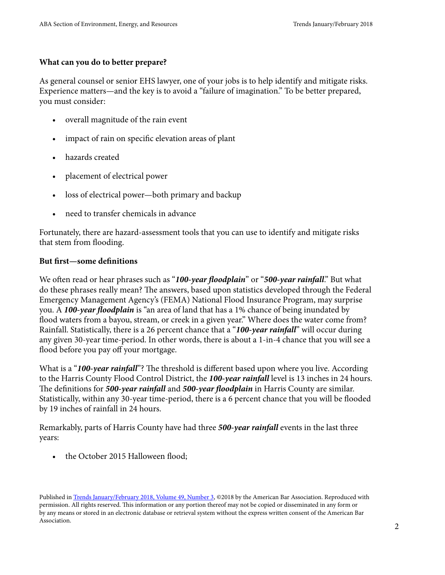## **What can you do to better prepare?**

As general counsel or senior EHS lawyer, one of your jobs is to help identify and mitigate risks. Experience matters—and the key is to avoid a "failure of imagination." To be better prepared, you must consider:

- overall magnitude of the rain event
- impact of rain on specific elevation areas of plant
- hazards created
- placement of electrical power
- loss of electrical power—both primary and backup
- need to transfer chemicals in advance

Fortunately, there are hazard-assessment tools that you can use to identify and mitigate risks that stem from flooding.

### **But first—some definitions**

We often read or hear phrases such as "*100-year floodplain*" or "*500-year rainfall*." But what do these phrases really mean? The answers, based upon statistics developed through the Federal Emergency Management Agency's (FEMA) National Flood Insurance Program, may surprise you. A *100-year floodplain* is "an area of land that has a 1% chance of being inundated by flood waters from a bayou, stream, or creek in a given year." Where does the water come from? Rainfall. Statistically, there is a 26 percent chance that a "*100-year rainfall*" will occur during any given 30-year time-period. In other words, there is about a 1-in-4 chance that you will see a flood before you pay off your mortgage.

What is a "**100-year rainfall**"? The threshold is different based upon where you live. According to the Harris County Flood Control District, the *100-year rainfall* level is 13 inches in 24 hours. The definitions for *500-year rainfall* and *500-year floodplain* in Harris County are similar. Statistically, within any 30-year time-period, there is a 6 percent chance that you will be flooded by 19 inches of rainfall in 24 hours.

Remarkably, parts of Harris County have had three *500-year rainfall* events in the last three years:

the October 2015 Halloween flood;

Published in [Trends January/February 2018, Volume 49, Number 3](https://www.americanbar.org/groups/environment_energy_resources/publications/trends/2017-2018/january-february-2018.html), ©2018 by the American Bar Association. Reproduced with permission. All rights reserved. This information or any portion thereof may not be copied or disseminated in any form or by any means or stored in an electronic database or retrieval system without the express written consent of the American Bar Association.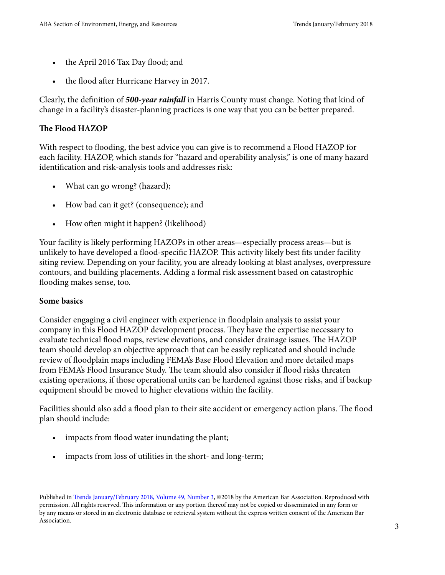- the April 2016 Tax Day flood; and
- the flood after Hurricane Harvey in 2017.

Clearly, the definition of *500-year rainfall* in Harris County must change. Noting that kind of change in a facility's disaster-planning practices is one way that you can be better prepared.

## **The Flood HAZOP**

With respect to flooding, the best advice you can give is to recommend a Flood HAZOP for each facility. HAZOP, which stands for "hazard and operability analysis," is one of many hazard identification and risk-analysis tools and addresses risk:

- What can go wrong? (hazard);
- How bad can it get? (consequence); and
- How often might it happen? (likelihood)

Your facility is likely performing HAZOPs in other areas—especially process areas—but is unlikely to have developed a flood-specific HAZOP. This activity likely best fits under facility siting review. Depending on your facility, you are already looking at blast analyses, overpressure contours, and building placements. Adding a formal risk assessment based on catastrophic flooding makes sense, too.

#### **Some basics**

Consider engaging a civil engineer with experience in floodplain analysis to assist your company in this Flood HAZOP development process. They have the expertise necessary to evaluate technical flood maps, review elevations, and consider drainage issues. The HAZOP team should develop an objective approach that can be easily replicated and should include review of floodplain maps including FEMA's Base Flood Elevation and more detailed maps from FEMA's Flood Insurance Study. The team should also consider if flood risks threaten existing operations, if those operational units can be hardened against those risks, and if backup equipment should be moved to higher elevations within the facility.

Facilities should also add a flood plan to their site accident or emergency action plans. The flood plan should include:

- impacts from flood water inundating the plant;
- impacts from loss of utilities in the short- and long-term;

Published in [Trends January/February 2018, Volume 49, Number 3](https://www.americanbar.org/groups/environment_energy_resources/publications/trends/2017-2018/january-february-2018.html), ©2018 by the American Bar Association. Reproduced with permission. All rights reserved. This information or any portion thereof may not be copied or disseminated in any form or by any means or stored in an electronic database or retrieval system without the express written consent of the American Bar Association.